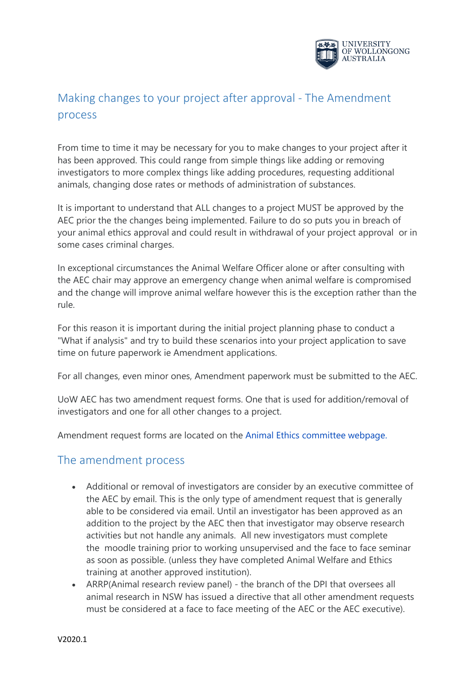

## Making changes to your project after approval - The Amendment process

From time to time it may be necessary for you to make changes to your project after it has been approved. This could range from simple things like adding or removing investigators to more complex things like adding procedures, requesting additional animals, changing dose rates or methods of administration of substances.

It is important to understand that ALL changes to a project MUST be approved by the AEC prior the the changes being implemented. Failure to do so puts you in breach of your animal ethics approval and could result in withdrawal of your project approval or in some cases criminal charges.

In exceptional circumstances the Animal Welfare Officer alone or after consulting with the AEC chair may approve an emergency change when animal welfare is compromised and the change will improve animal welfare however this is the exception rather than the rule.

For this reason it is important during the initial project planning phase to conduct a "What if analysis" and try to build these scenarios into your project application to save time on future paperwork ie Amendment applications.

For all changes, even minor ones, Amendment paperwork must be submitted to the AEC.

UoW AEC has two amendment request forms. One that is used for addition/removal of investigators and one for all other changes to a project.

Amendment request forms are located on the [Animal Ethics committee webpage.](https://www.uow.edu.au/research/ethics/animal/index.html)

## The amendment process

- Additional or removal of investigators are consider by an executive committee of the AEC by email. This is the only type of amendment request that is generally able to be considered via email. Until an investigator has been approved as an addition to the project by the AEC then that investigator may observe research activities but not handle any animals. All new investigators must complete the moodle training prior to working unsupervised and the face to face seminar as soon as possible. (unless they have completed Animal Welfare and Ethics training at another approved institution).
- ARRP(Animal research review panel) the branch of the DPI that oversees all animal research in NSW has issued a directive that all other amendment requests must be considered at a face to face meeting of the AEC or the AEC executive).